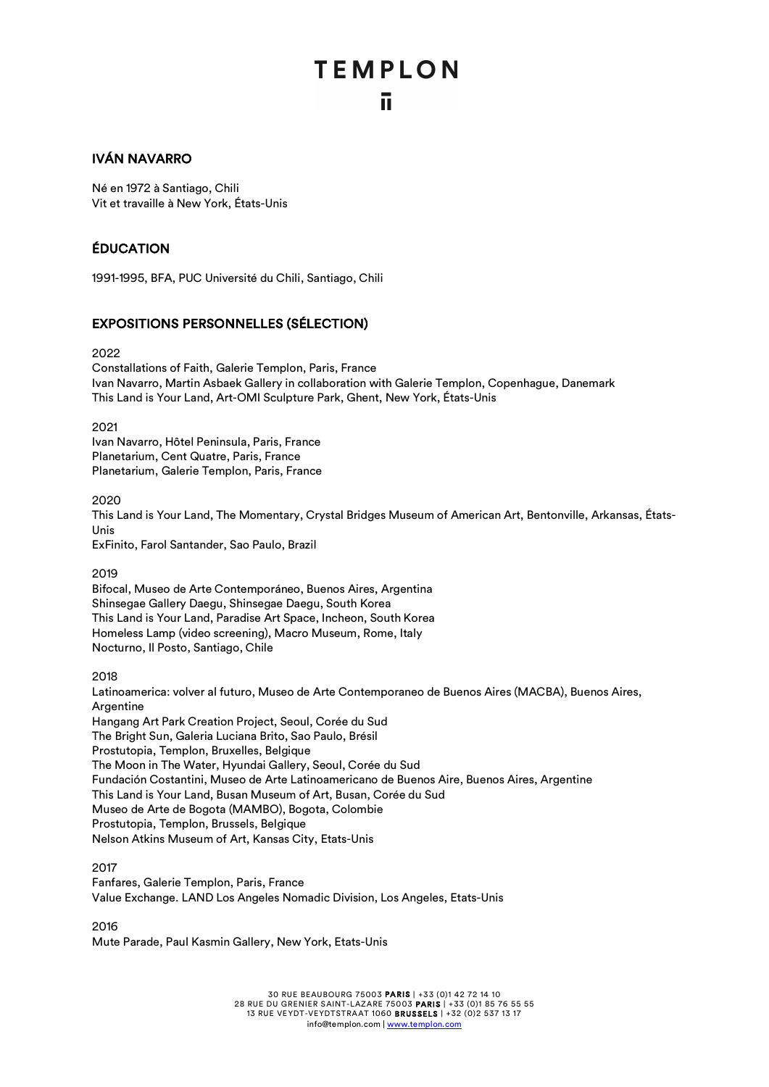## **TEMPLON** ū.

#### IVÁN NAVARRO

Né en 1972 à Santiago, Chili Vit et travaille à New York, États-Unis

#### ÉDUCATION

1991-1995, BFA, PUC Université du Chili, Santiago, Chili

#### EXPOSITIONS PERSONNELLES (SÉLECTION)

2022

Constallations of Faith, Galerie Templon, Paris, France Ivan Navarro, Martin Asbaek Gallery in collaboration with Galerie Templon, Copenhague, Danemark This Land is Your Land, Art-OMI Sculpture Park, Ghent, New York, États-Unis

2021

Ivan Navarro, Hôtel Peninsula, Paris, France Planetarium, Cent Quatre, Paris, France Planetarium, Galerie Templon, Paris, France

2020

This Land is Your Land, The Momentary, Crystal Bridges Museum of American Art, Bentonville, Arkansas, États-Unis

ExFinito, Farol Santander, Sao Paulo, Brazil

2019

Bifocal, Museo de Arte Contemporáneo, Buenos Aires, Argentina Shinsegae Gallery Daegu, Shinsegae Daegu, South Korea This Land is Your Land, Paradise Art Space, Incheon, South Korea Homeless Lamp (video screening), Macro Museum, Rome, Italy Nocturno, Il Posto, Santiago, Chile

2018

Latinoamerica: volver al futuro, Museo de Arte Contemporaneo de Buenos Aires (MACBA), Buenos Aires, Argentine Hangang Art Park Creation Project, Seoul, Corée du Sud The Bright Sun, Galeria Luciana Brito, Sao Paulo, Brésil Prostutopia, Templon, Bruxelles, Belgique The Moon in The Water, Hyundai Gallery, Seoul, Corée du Sud Fundación Costantini, Museo de Arte Latinoamericano de Buenos Aire, Buenos Aires, Argentine This Land is Your Land, Busan Museum of Art, Busan, Corée du Sud Museo de Arte de Bogota (MAMBO), Bogota, Colombie Prostutopia, Templon, Brussels, Belgique Nelson Atkins Museum of Art, Kansas City, Etats-Unis

#### 2017

Fanfares, Galerie Templon, Paris, France Value Exchange. LAND Los Angeles Nomadic Division, Los Angeles, Etats-Unis

2016

Mute Parade, Paul Kasmin Gallery, New York, Etats-Unis

30 RUE BEAUBOURG 75003 PARIS | +33 (0)1 42 72 14 10 28 RUE DU GRENIER SAINT-LAZARE 75003 PARIS | +33 (0)1 85 76 55 55 13 RUE VEYDT-VEYDTSTRAAT 1060 BRUSSELS | +32 (0)2 537 13 17 info@templon.com | www.templon.com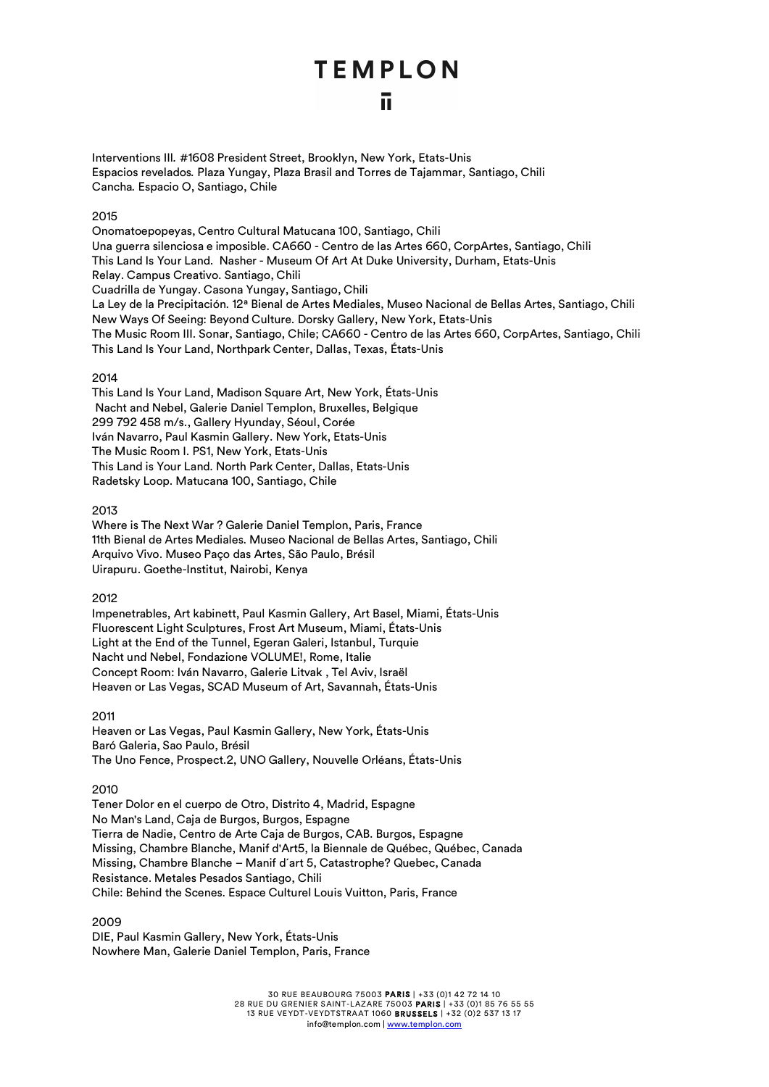#### ū

Interventions III*.* #1608 President Street, Brooklyn, New York, Etats-Unis Espacios revelados*.* Plaza Yungay, Plaza Brasil and Torres de Tajammar, Santiago, Chili Cancha*.* Espacio O, Santiago, Chile

#### 2015

Onomatoepopeyas, Centro Cultural Matucana 100, Santiago, Chili Una guerra silenciosa e imposible. CA660 - Centro de las Artes 660, CorpArtes, Santiago, Chili This Land Is Your Land. Nasher - Museum Of Art At Duke University, Durham, Etats-Unis Relay. Campus Creativo. Santiago, Chili Cuadrilla de Yungay. Casona Yungay, Santiago, Chili La Ley de la Precipitación. 12ª Bienal de Artes Mediales, Museo Nacional de Bellas Artes, Santiago, Chili New Ways Of Seeing: Beyond Culture. Dorsky Gallery, New York, Etats-Unis The Music Room III. Sonar, Santiago, Chile; CA660 - Centro de las Artes 660, CorpArtes, Santiago, Chili This Land Is Your Land, Northpark Center, Dallas, Texas, États-Unis

#### 2014

This Land Is Your Land, Madison Square Art, New York, États-Unis Nacht and Nebel, Galerie Daniel Templon, Bruxelles, Belgique 299 792 458 m/s., Gallery Hyunday, Séoul, Corée Iván Navarro, Paul Kasmin Gallery. New York, Etats-Unis The Music Room I. PS1, New York, Etats-Unis This Land is Your Land. North Park Center, Dallas, Etats-Unis Radetsky Loop. Matucana 100, Santiago, Chile

#### 2013

Where is The Next War ? Galerie Daniel Templon, Paris, France 11th Bienal de Artes Mediales. Museo Nacional de Bellas Artes, Santiago, Chili Arquivo Vivo. Museo Paço das Artes, São Paulo, Brésil Uirapuru. Goethe-Institut, Nairobi, Kenya

2012

Impenetrables, Art kabinett, Paul Kasmin Gallery, Art Basel, Miami, États-Unis Fluorescent Light Sculptures, Frost Art Museum, Miami, États-Unis Light at the End of the Tunnel, Egeran Galeri, Istanbul, Turquie Nacht und Nebel, Fondazione VOLUME!, Rome, Italie Concept Room: Iván Navarro, Galerie Litvak , Tel Aviv, Israël Heaven or Las Vegas, SCAD Museum of Art, Savannah, États-Unis

2011

Heaven or Las Vegas, Paul Kasmin Gallery, New York, États-Unis Baró Galeria, Sao Paulo, Brésil The Uno Fence, Prospect.2, UNO Gallery, Nouvelle Orléans, États-Unis

#### 2010

Tener Dolor en el cuerpo de Otro, Distrito 4, Madrid, Espagne No Man's Land, Caja de Burgos, Burgos, Espagne Tierra de Nadie, Centro de Arte Caja de Burgos, CAB. Burgos, Espagne Missing, Chambre Blanche, Manif d'Art5, la Biennale de Québec, Québec, Canada Missing, Chambre Blanche – Manif d´art 5, Catastrophe? Quebec, Canada Resistance. Metales Pesados Santiago, Chili Chile: Behind the Scenes. Espace Culturel Louis Vuitton, Paris, France

2009

DIE, Paul Kasmin Gallery, New York, États-Unis Nowhere Man, Galerie Daniel Templon, Paris, France

> 30 RUE BEAUBOURG 75003 PARIS | +33 (0)1 42 72 14 10 28 RUE DU GRENIER SAINT-LAZARE 75003 PARIS | +33 (0)1 85 76 55 55 13 RUE VEYDT-VEYDTSTRAAT 1060 BRUSSELS | +32 (0)2 537 13 17 info@templon.com | www.templon.com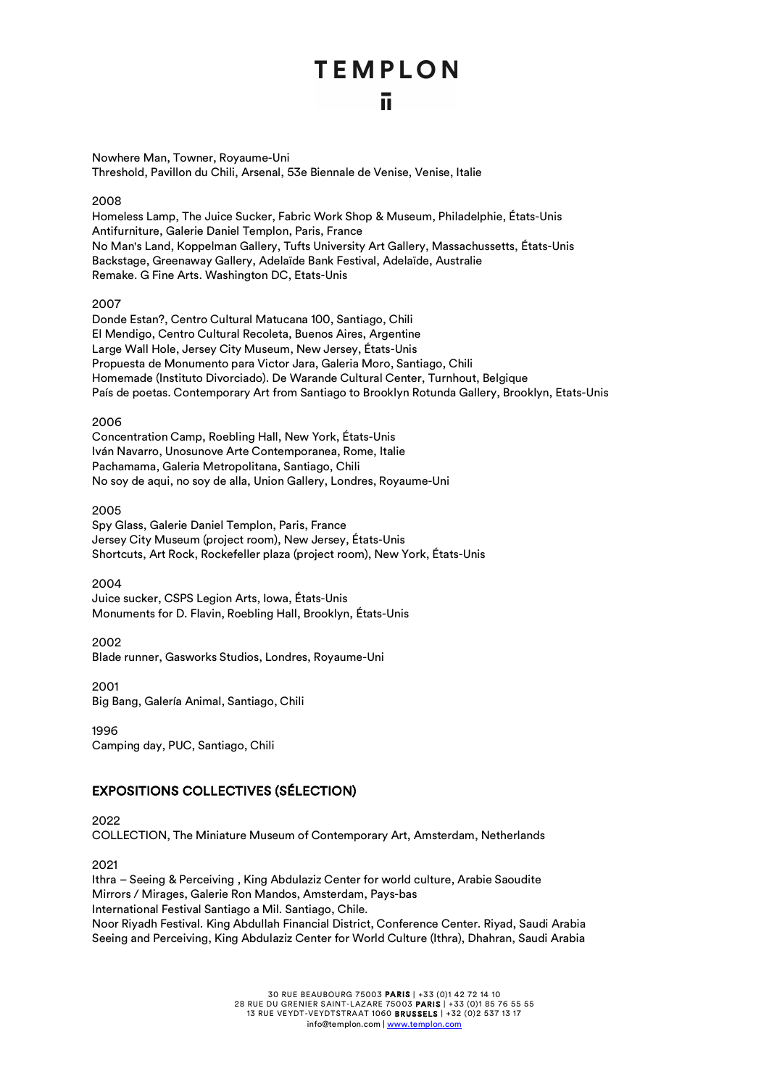Nowhere Man, Towner, Royaume-Uni Threshold, Pavillon du Chili, Arsenal, 53e Biennale de Venise, Venise, Italie

#### 2008

Homeless Lamp, The Juice Sucker, Fabric Work Shop & Museum, Philadelphie, États-Unis Antifurniture, Galerie Daniel Templon, Paris, France No Man's Land, Koppelman Gallery, Tufts University Art Gallery, Massachussetts, États-Unis Backstage, Greenaway Gallery, Adelaïde Bank Festival, Adelaïde, Australie Remake. G Fine Arts. Washington DC, Etats-Unis

#### 2007

Donde Estan?, Centro Cultural Matucana 100, Santiago, Chili El Mendigo, Centro Cultural Recoleta, Buenos Aires, Argentine Large Wall Hole, Jersey City Museum, New Jersey, États-Unis Propuesta de Monumento para Victor Jara, Galeria Moro, Santiago, Chili Homemade (Instituto Divorciado). De Warande Cultural Center, Turnhout, Belgique País de poetas. Contemporary Art from Santiago to Brooklyn Rotunda Gallery, Brooklyn, Etats-Unis

#### 2006

Concentration Camp, Roebling Hall, New York, États-Unis Iván Navarro, Unosunove Arte Contemporanea, Rome, Italie Pachamama, Galeria Metropolitana, Santiago, Chili No soy de aqui, no soy de alla, Union Gallery, Londres, Royaume-Uni

#### 2005

Spy Glass, Galerie Daniel Templon, Paris, France Jersey City Museum (project room), New Jersey, États-Unis Shortcuts, Art Rock, Rockefeller plaza (project room), New York, États-Unis

#### 2004

Juice sucker, CSPS Legion Arts, Iowa, États-Unis Monuments for D. Flavin, Roebling Hall, Brooklyn, États-Unis

2002

Blade runner, Gasworks Studios, Londres, Royaume-Uni

2001 Big Bang, Galería Animal, Santiago, Chili

1996

Camping day, PUC, Santiago, Chili

#### EXPOSITIONS COLLECTIVES (SÉLECTION)

2022 COLLECTION, The Miniature Museum of Contemporary Art, Amsterdam, Netherlands

2021

Ithra – Seeing & Perceiving , King Abdulaziz Center for world culture, Arabie Saoudite Mirrors / Mirages, Galerie Ron Mandos, Amsterdam, Pays-bas International Festival Santiago a Mil. Santiago, Chile. Noor Riyadh Festival. King Abdullah Financial District, Conference Center. Riyad, Saudi Arabia Seeing and Perceiving, King Abdulaziz Center for World Culture (Ithra), Dhahran, Saudi Arabia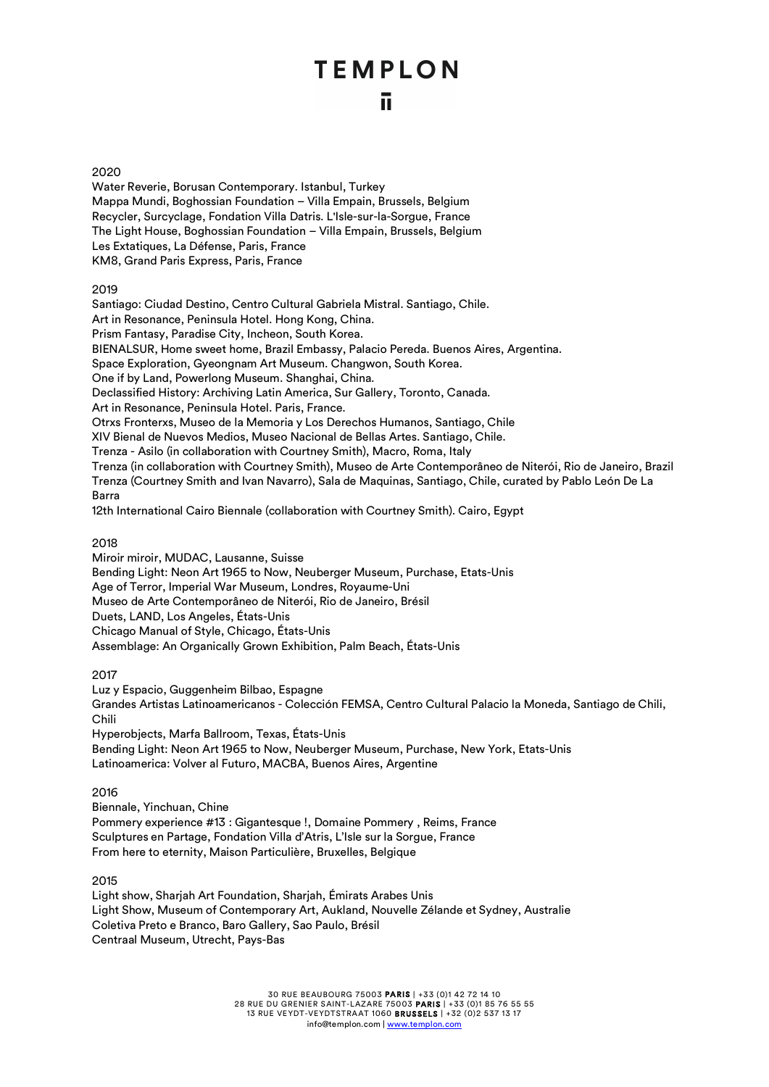#### 2020

Water Reverie, Borusan Contemporary. Istanbul, Turkey Mappa Mundi, Boghossian Foundation – Villa Empain, Brussels, Belgium Recycler, Surcyclage, Fondation Villa Datris. L'Isle-sur-la-Sorgue, France The Light House, Boghossian Foundation – Villa Empain, Brussels, Belgium Les Extatiques, La Défense, Paris, France KM8, Grand Paris Express, Paris, France

#### 2019

Santiago: Ciudad Destino, Centro Cultural Gabriela Mistral. Santiago, Chile. Art in Resonance, Peninsula Hotel. Hong Kong, China. Prism Fantasy, Paradise City, Incheon, South Korea. BIENALSUR, Home sweet home, Brazil Embassy, Palacio Pereda. Buenos Aires, Argentina. Space Exploration, Gyeongnam Art Museum. Changwon, South Korea. One if by Land, Powerlong Museum. Shanghai, China. Declassified History: Archiving Latin America, Sur Gallery, Toronto, Canada. Art in Resonance, Peninsula Hotel. Paris, France. Otrxs Fronterxs, Museo de la Memoria y Los Derechos Humanos, Santiago, Chile XIV Bienal de Nuevos Medios, Museo Nacional de Bellas Artes. Santiago, Chile. Trenza - Asilo (in collaboration with Courtney Smith), Macro, Roma, Italy Trenza (in collaboration with Courtney Smith), Museo de Arte Contemporâneo de Niterói, Rio de Janeiro, Brazil Trenza (Courtney Smith and Ivan Navarro), Sala de Maquinas, Santiago, Chile, curated by Pablo León De La Barra 12th International Cairo Biennale (collaboration with Courtney Smith). Cairo, Egypt

#### 2018

Miroir miroir, MUDAC, Lausanne, Suisse Bending Light: Neon Art 1965 to Now, Neuberger Museum, Purchase, Etats-Unis Age of Terror, Imperial War Museum, Londres, Royaume-Uni Museo de Arte Contemporâneo de Niterói, Rio de Janeiro, Brésil Duets, LAND, Los Angeles, États-Unis Chicago Manual of Style, Chicago, États-Unis Assemblage: An Organically Grown Exhibition, Palm Beach, États-Unis

#### 2017

Luz y Espacio, Guggenheim Bilbao, Espagne Grandes Artistas Latinoamericanos - Colección FEMSA, Centro Cultural Palacio la Moneda, Santiago de Chili, Chili Hyperobjects, Marfa Ballroom, Texas, États-Unis Bending Light: Neon Art 1965 to Now, Neuberger Museum, Purchase, New York, Etats-Unis

Latinoamerica: Volver al Futuro, MACBA, Buenos Aires, Argentine

#### 2016

Biennale, Yinchuan, Chine Pommery experience #13 : Gigantesque !, Domaine Pommery , Reims, France Sculptures en Partage, Fondation Villa d'Atris, L'Isle sur la Sorgue, France From here to eternity, Maison Particulière, Bruxelles, Belgique

#### 2015

Light show, Sharjah Art Foundation, Sharjah, Émirats Arabes Unis Light Show, Museum of Contemporary Art, Aukland, Nouvelle Zélande et Sydney, Australie Coletiva Preto e Branco, Baro Gallery, Sao Paulo, Brésil Centraal Museum, Utrecht, Pays-Bas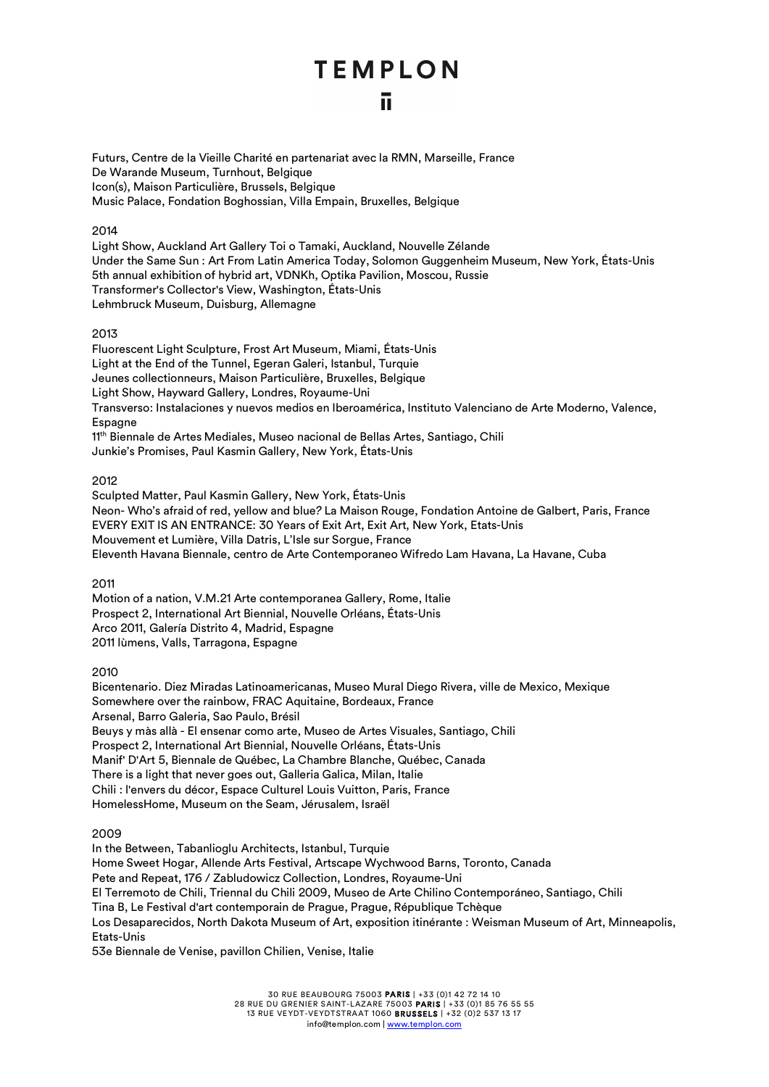ū.

Futurs, Centre de la Vieille Charité en partenariat avec la RMN, Marseille, France De Warande Museum, Turnhout, Belgique Icon(s), Maison Particulière, Brussels, Belgique Music Palace, Fondation Boghossian, Villa Empain, Bruxelles, Belgique

#### 2014

Light Show, Auckland Art Gallery Toi o Tamaki, Auckland, Nouvelle Zélande Under the Same Sun : Art From Latin America Today, Solomon Guggenheim Museum, New York, États-Unis 5th annual exhibition of hybrid art, VDNKh, Optika Pavilion, Moscou, Russie Transformer's Collector's View, Washington, États-Unis Lehmbruck Museum, Duisburg, Allemagne

#### 2013

Fluorescent Light Sculpture, Frost Art Museum, Miami, États-Unis Light at the End of the Tunnel, Egeran Galeri, Istanbul, Turquie Jeunes collectionneurs, Maison Particulière, Bruxelles, Belgique Light Show, Hayward Gallery, Londres, Royaume-Uni Transverso: Instalaciones y nuevos medios en Iberoamérica, Instituto Valenciano de Arte Moderno, Valence, **Espagne** 11<sup>th</sup> Biennale de Artes Mediales, Museo nacional de Bellas Artes, Santiago, Chili Junkie's Promises, Paul Kasmin Gallery, New York, États-Unis

#### 2012

Sculpted Matter, Paul Kasmin Gallery, New York, États-Unis Neon- Who's afraid of red, yellow and blue*?* La Maison Rouge, Fondation Antoine de Galbert, Paris, France EVERY EXIT IS AN ENTRANCE: 30 Years of Exit Art, Exit Art, New York, Etats-Unis Mouvement et Lumière, Villa Datris, L'Isle sur Sorgue, France Eleventh Havana Biennale, centro de Arte Contemporaneo Wifredo Lam Havana, La Havane, Cuba

2011

Motion of a nation, V.M.21 Arte contemporanea Gallery, Rome, Italie Prospect 2, International Art Biennial, Nouvelle Orléans, États-Unis Arco 2011, Galería Distrito 4, Madrid, Espagne 2011 lùmens, Valls, Tarragona, Espagne

2010

Bicentenario. Diez Miradas Latinoamericanas, Museo Mural Diego Rivera, ville de Mexico, Mexique Somewhere over the rainbow, FRAC Aquitaine, Bordeaux, France Arsenal, Barro Galeria, Sao Paulo, Brésil Beuys y màs allà - El ensenar como arte, Museo de Artes Visuales, Santiago, Chili Prospect 2, International Art Biennial, Nouvelle Orléans, États-Unis Manif' D'Art 5, Biennale de Québec, La Chambre Blanche, Québec, Canada There is a light that never goes out, Galleria Galica, Milan, Italie Chili : l'envers du décor, Espace Culturel Louis Vuitton, Paris, France HomelessHome, Museum on the Seam, Jérusalem, Israël

2009

In the Between, Tabanlioglu Architects, Istanbul, Turquie Home Sweet Hogar, Allende Arts Festival, Artscape Wychwood Barns, Toronto, Canada Pete and Repeat, 176 / Zabludowicz Collection, Londres, Royaume-Uni El Terremoto de Chili, Triennal du Chili 2009, Museo de Arte Chilino Contemporáneo, Santiago, Chili Tina B, Le Festival d'art contemporain de Prague, Prague, République Tchèque Los Desaparecidos, North Dakota Museum of Art, exposition itinérante : Weisman Museum of Art, Minneapolis, Etats-Unis

53e Biennale de Venise, pavillon Chilien, Venise, Italie

30 RUE BEAUBOURG 75003 PARIS | +33 (0)1 42 72 14 10 28 RUE DU GRENIER SAINT-LAZARE 75003 PARIS | +33 (0)1 85 76 55 55 13 RUE VEYDT-VEYDTSTRAAT 1060 BRUSSELS | +32 (0)2 537 13 17 info@templon.com | www.templon.com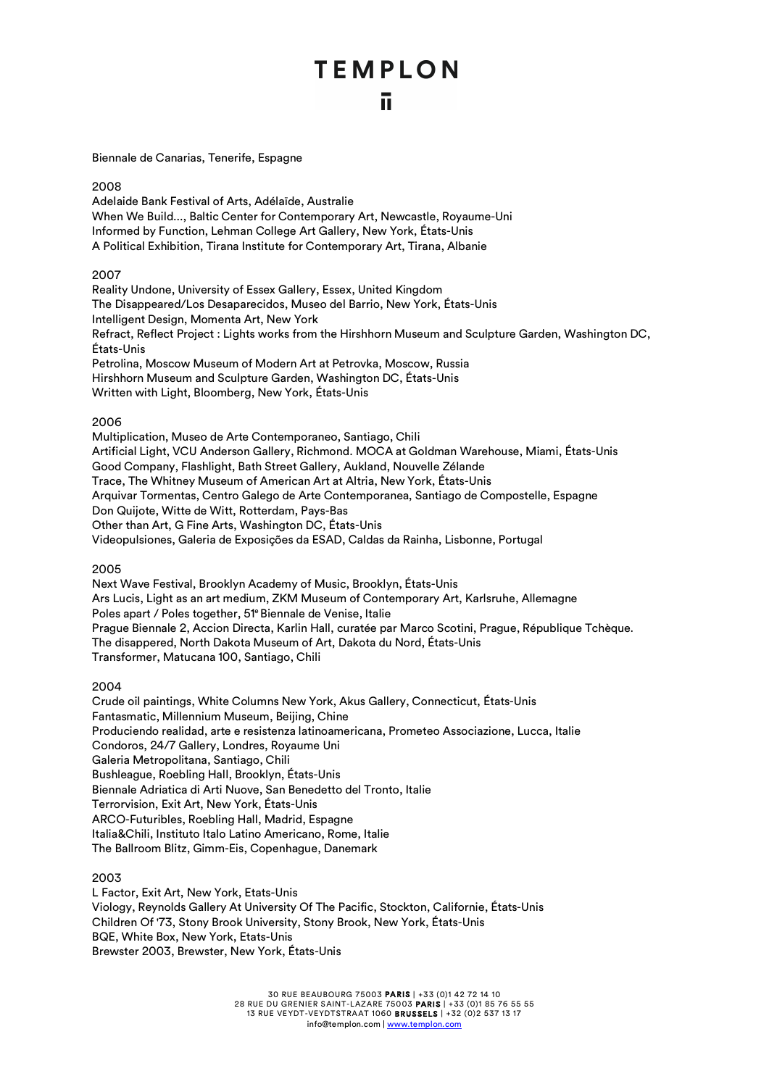Biennale de Canarias, Tenerife, Espagne

#### 2008

Adelaide Bank Festival of Arts, Adélaïde, Australie When We Build..., Baltic Center for Contemporary Art, Newcastle, Royaume-Uni Informed by Function, Lehman College Art Gallery, New York, États-Unis A Political Exhibition, Tirana Institute for Contemporary Art, Tirana, Albanie

#### 2007

Reality Undone, University of Essex Gallery, Essex, United Kingdom The Disappeared/Los Desaparecidos, Museo del Barrio, New York, États-Unis Intelligent Design, Momenta Art, New York Refract, Reflect Project : Lights works from the Hirshhorn Museum and Sculpture Garden, Washington DC, États-Unis Petrolina, Moscow Museum of Modern Art at Petrovka, Moscow, Russia Hirshhorn Museum and Sculpture Garden, Washington DC, États-Unis Written with Light, Bloomberg, New York, États-Unis

#### 2006

Multiplication, Museo de Arte Contemporaneo, Santiago, Chili Artificial Light, VCU Anderson Gallery, Richmond. MOCA at Goldman Warehouse, Miami, États-Unis Good Company, Flashlight, Bath Street Gallery, Aukland, Nouvelle Zélande Trace, The Whitney Museum of American Art at Altria, New York, États-Unis Arquivar Tormentas, Centro Galego de Arte Contemporanea, Santiago de Compostelle, Espagne Don Quijote, Witte de Witt, Rotterdam, Pays-Bas Other than Art, G Fine Arts, Washington DC, États-Unis Videopulsiones, Galeria de Exposições da ESAD, Caldas da Rainha, Lisbonne, Portugal

#### 2005

Next Wave Festival, Brooklyn Academy of Music, Brooklyn, États-Unis Ars Lucis, Light as an art medium, ZKM Museum of Contemporary Art, Karlsruhe, Allemagne Poles apart / Poles together, 51e Biennale de Venise, Italie Prague Biennale 2, Accion Directa, Karlin Hall, curatée par Marco Scotini, Prague, République Tchèque. The disappered, North Dakota Museum of Art, Dakota du Nord, États-Unis Transformer, Matucana 100, Santiago, Chili

#### 2004

Crude oil paintings, White Columns New York, Akus Gallery, Connecticut, États-Unis Fantasmatic, Millennium Museum, Beijing, Chine Produciendo realidad, arte e resistenza latinoamericana, Prometeo Associazione, Lucca, Italie Condoros, 24/7 Gallery, Londres, Royaume Uni Galeria Metropolitana, Santiago, Chili Bushleague, Roebling Hall, Brooklyn, États-Unis Biennale Adriatica di Arti Nuove, San Benedetto del Tronto, Italie Terrorvision, Exit Art, New York, États-Unis ARCO-Futuribles, Roebling Hall, Madrid, Espagne Italia&Chili, Instituto Italo Latino Americano, Rome, Italie The Ballroom Blitz, Gimm-Eis, Copenhague, Danemark

#### 2003

L Factor, Exit Art, New York, Etats-Unis Viology, Reynolds Gallery At University Of The Pacific, Stockton, Californie, États-Unis Children Of '73, Stony Brook University, Stony Brook, New York, États-Unis BQE, White Box, New York, Etats-Unis Brewster 2003, Brewster, New York, États-Unis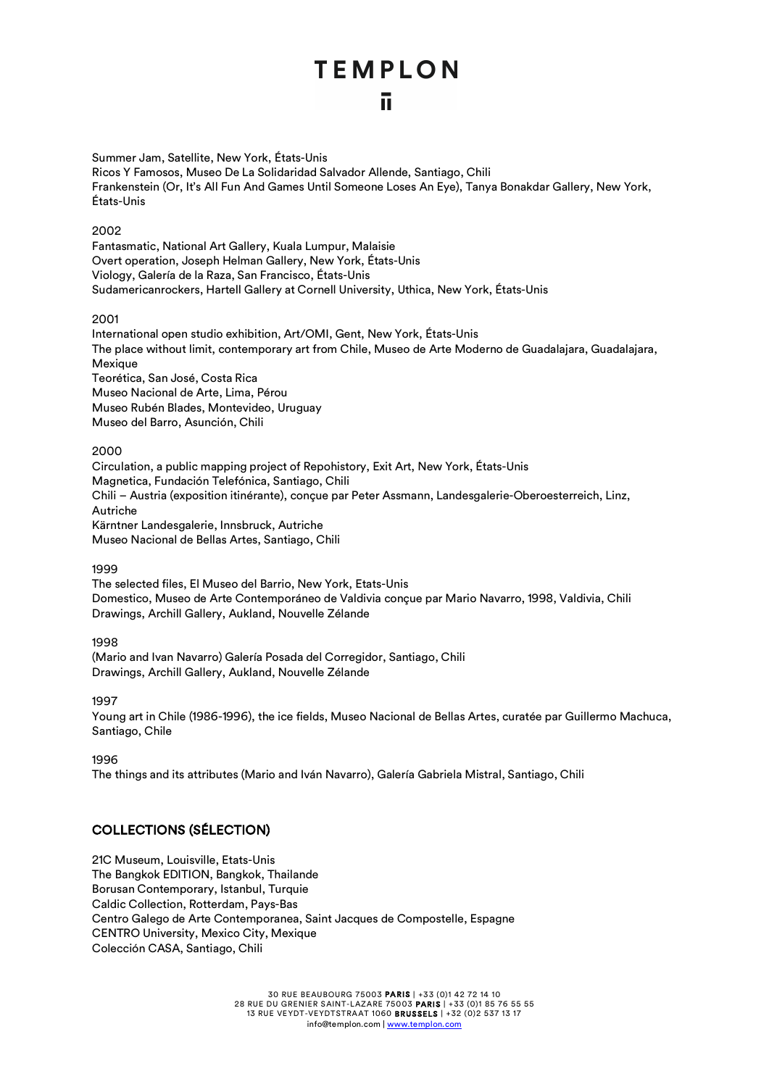Summer Jam, Satellite, New York, États-Unis Ricos Y Famosos, Museo De La Solidaridad Salvador Allende, Santiago, Chili Frankenstein (Or, It's All Fun And Games Until Someone Loses An Eye), Tanya Bonakdar Gallery, New York, États-Unis

#### 2002

Fantasmatic, National Art Gallery, Kuala Lumpur, Malaisie Overt operation, Joseph Helman Gallery, New York, États-Unis Viology, Galería de la Raza, San Francisco, États-Unis Sudamericanrockers, Hartell Gallery at Cornell University, Uthica, New York, États-Unis

#### 2001

International open studio exhibition, Art/OMI, Gent, New York, États-Unis The place without limit, contemporary art from Chile, Museo de Arte Moderno de Guadalajara, Guadalajara, **Mexique** Teorética, San José, Costa Rica Museo Nacional de Arte, Lima, Pérou Museo Rubén Blades, Montevideo, Uruguay Museo del Barro, Asunción, Chili

#### 2000

Circulation, a public mapping project of Repohistory, Exit Art, New York, États-Unis Magnetica, Fundación Telefónica, Santiago, Chili Chili – Austria (exposition itinérante), conçue par Peter Assmann, Landesgalerie-Oberoesterreich, Linz, Autriche Kärntner Landesgalerie, Innsbruck, Autriche Museo Nacional de Bellas Artes, Santiago, Chili

#### 1999

The selected files, El Museo del Barrio, New York, Etats-Unis Domestico, Museo de Arte Contemporáneo de Valdivia conçue par Mario Navarro, 1998, Valdivia, Chili Drawings, Archill Gallery, Aukland, Nouvelle Zélande

#### 1998

(Mario and Ivan Navarro) Galería Posada del Corregidor, Santiago, Chili Drawings, Archill Gallery, Aukland, Nouvelle Zélande

#### 1997

Young art in Chile (1986-1996), the ice fields, Museo Nacional de Bellas Artes, curatée par Guillermo Machuca, Santiago, Chile

#### 1996

The things and its attributes (Mario and Iván Navarro), Galería Gabriela Mistral, Santiago, Chili

#### COLLECTIONS (SÉLECTION)

21C Museum, Louisville, Etats-Unis The Bangkok EDITION, Bangkok, Thailande Borusan Contemporary, Istanbul, Turquie Caldic Collection, Rotterdam, Pays-Bas Centro Galego de Arte Contemporanea, Saint Jacques de Compostelle, Espagne CENTRO University, Mexico City, Mexique Colección CASA, Santiago, Chili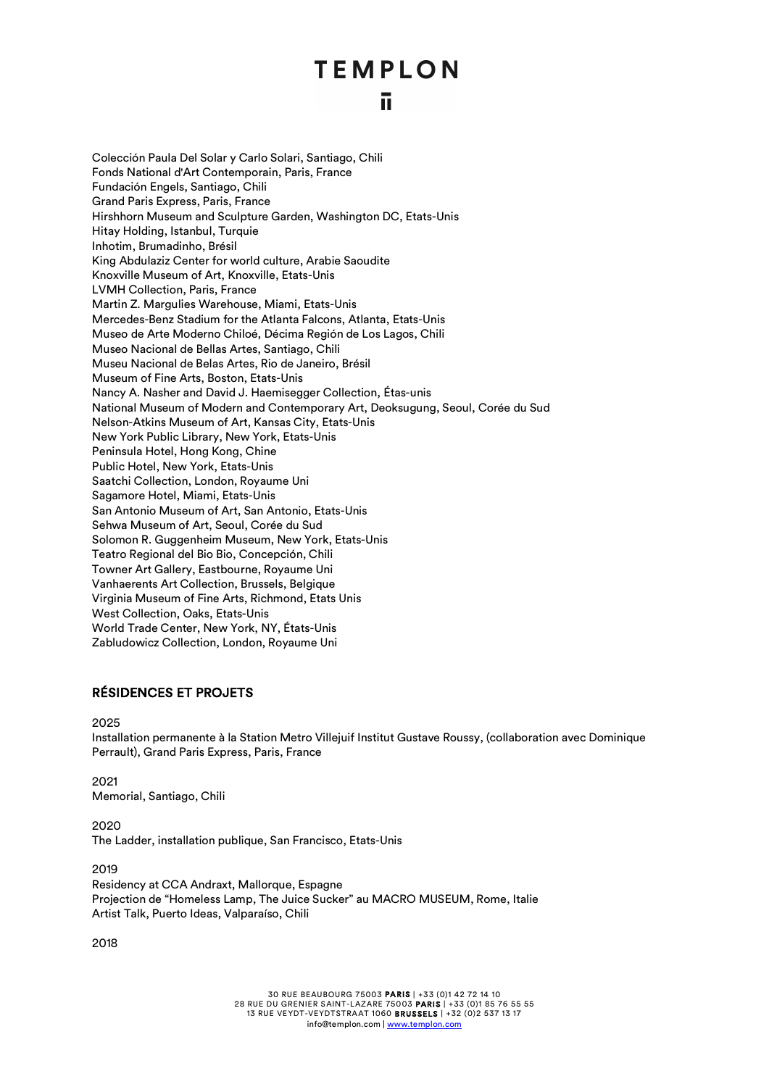### īī.

Colección Paula Del Solar y Carlo Solari, Santiago, Chili Fonds National d'Art Contemporain, Paris, France Fundación Engels, Santiago, Chili Grand Paris Express, Paris, France Hirshhorn Museum and Sculpture Garden, Washington DC, Etats-Unis Hitay Holding, Istanbul, Turquie Inhotim, Brumadinho, Brésil King Abdulaziz Center for world culture, Arabie Saoudite Knoxville Museum of Art, Knoxville, Etats-Unis LVMH Collection, Paris, France Martin Z. Margulies Warehouse, Miami, Etats-Unis Mercedes-Benz Stadium for the Atlanta Falcons, Atlanta, Etats-Unis Museo de Arte Moderno Chiloé, Décima Región de Los Lagos, Chili Museo Nacional de Bellas Artes, Santiago, Chili Museu Nacional de Belas Artes, Rio de Janeiro, Brésil Museum of Fine Arts, Boston, Etats-Unis Nancy A. Nasher and David J. Haemisegger Collection, Étas-unis National Museum of Modern and Contemporary Art, Deoksugung, Seoul, Corée du Sud Nelson-Atkins Museum of Art, Kansas City, Etats-Unis New York Public Library, New York, Etats-Unis Peninsula Hotel, Hong Kong, Chine Public Hotel, New York, Etats-Unis Saatchi Collection, London, Royaume Uni Sagamore Hotel, Miami, Etats-Unis San Antonio Museum of Art, San Antonio, Etats-Unis Sehwa Museum of Art, Seoul, Corée du Sud Solomon R. Guggenheim Museum, New York, Etats-Unis Teatro Regional del Bio Bio, Concepción, Chili Towner Art Gallery, Eastbourne, Royaume Uni Vanhaerents Art Collection, Brussels, Belgique Virginia Museum of Fine Arts, Richmond, Etats Unis West Collection, Oaks, Etats-Unis World Trade Center, New York, NY, États-Unis Zabludowicz Collection, London, Royaume Uni

#### RÉSIDENCES ET PROJETS

#### 2025

Installation permanente à la Station Metro Villejuif Institut Gustave Roussy, (collaboration avec Dominique Perrault), Grand Paris Express, Paris, France

#### 2021 Memorial, Santiago, Chili

2020 The Ladder, installation publique, San Francisco, Etats-Unis

#### 2019

Residency at CCA Andraxt, Mallorque, Espagne Projection de "Homeless Lamp, The Juice Sucker" au MACRO MUSEUM, Rome, Italie Artist Talk, Puerto Ideas, Valparaíso, Chili

2018